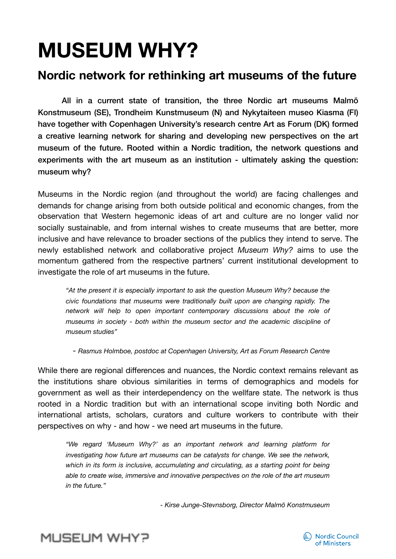# **MUSEUM WHY?**

## **Nordic network for rethinking art museums of the future**

All in a current state of transition, the three Nordic art museums Malmö Konstmuseum (SE), Trondheim Kunstmuseum (N) and Nykytaiteen museo Kiasma (FI) have together with Copenhagen University's research centre Art as Forum (DK) formed a creative learning network for sharing and developing new perspectives on the art museum of the future. Rooted within a Nordic tradition, the network questions and experiments with the art museum as an institution - ultimately asking the question: museum why?

Museums in the Nordic region (and throughout the world) are facing challenges and demands for change arising from both outside political and economic changes, from the observation that Western hegemonic ideas of art and culture are no longer valid nor socially sustainable, and from internal wishes to create museums that are better, more inclusive and have relevance to broader sections of the publics they intend to serve. The newly established network and collaborative project *Museum Why?* aims to use the momentum gathered from the respective partners' current institutional development to investigate the role of art museums in the future.

*"At the present it is especially important to ask the question Museum Why? because the civic foundations that museums were traditionally built upon are changing rapidly. The network will help to open important contemporary discussions about the role of museums in society - both within the museum sector and the academic discipline of museum studies"* 

*- Rasmus Holmboe, postdoc at Copenhagen University, Art as Forum Research Centre* 

While there are regional differences and nuances, the Nordic context remains relevant as the institutions share obvious similarities in terms of demographics and models for government as well as their interdependency on the wellfare state. The network is thus rooted in a Nordic tradition but with an international scope inviting both Nordic and international artists, scholars, curators and culture workers to contribute with their perspectives on why - and how - we need art museums in the future.

*"We regard 'Museum Why?' as an important network and learning platform for investigating how future art museums can be catalysts for change. We see the network, which in its form is inclusive, accumulating and circulating, as a starting point for being able to create wise, immersive and innovative perspectives on the role of the art museum in the future."*

*- Kirse Junge-Stevnsborg, Director Malmö Konstmuseum*



# MUSEUM WHY?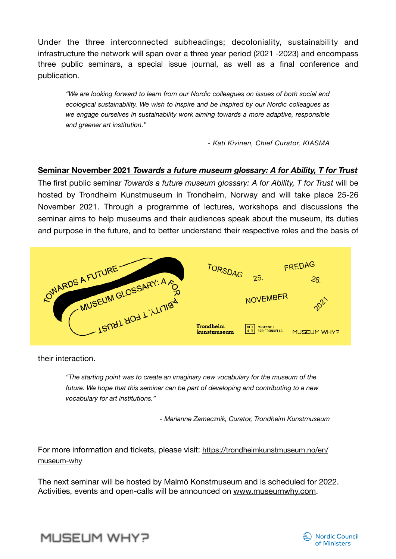Under the three interconnected subheadings; decoloniality, sustainability and infrastructure the network will span over a three year period (2021 -2023) and encompass three public seminars, a special issue journal, as well as a final conference and publication.

*"We are looking forward to learn from our Nordic colleagues on issues of both social and ecological sustainability. We wish to inspire and be inspired by our Nordic colleagues as we engage ourselves in sustainability work aiming towards a more adaptive, responsible and greener art institution."* 

*- Kati Kivinen, Chief Curator, KIASMA*

### **Seminar November 2021** *Towards a future museum glossary: A for Ability, T for Trust*

The first public seminar *Towards a future museum glossary: A for Ability, T for Trust* will be hosted by Trondheim Kunstmuseum in Trondheim, Norway and will take place 25-26 November 2021. Through a programme of lectures, workshops and discussions the seminar aims to help museums and their audiences speak about the museum, its duties and purpose in the future, and to better understand their respective roles and the basis of



their interaction.

*"The starting point was to create an imaginary new vocabulary for the museum of the future. We hope that this seminar can be part of developing and contributing to a new vocabulary for art institutions."*

 *- Marianne Zamecznik, Curator, Trondheim Kunstmuseum* 

For more information and tickets, please visit: [https://trondheimkunstmuseum.no/en/](https://trondheimkunstmuseum.no/en/museum-why) [museum-why](https://trondheimkunstmuseum.no/en/museum-why)

The next seminar will be hosted by Malmö Konstmuseum and is scheduled for 2022. Activities, events and open-calls will be announced on [www.museumwhy.com](http://www.museumwhy.com).



MUSEUM WHY?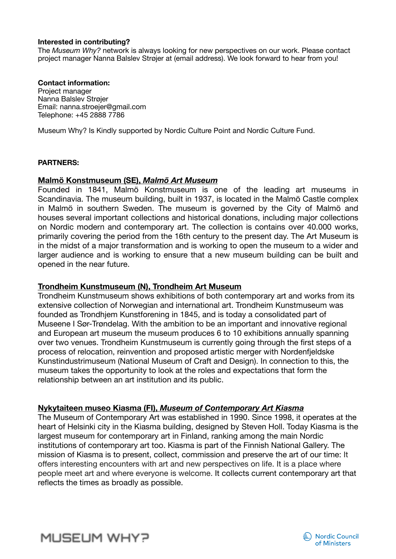#### **Interested in contributing?**

The *Museum Why?* network is always looking for new perspectives on our work. Please contact project manager Nanna Balslev Strøjer at (email address). We look forward to hear from you!

#### **Contact information:**

Project manager Nanna Balslev Strøjer Email: nanna.stroejer@gmail.com Telephone: +45 2888 7786

Museum Why? Is Kindly supported by Nordic Culture Point and Nordic Culture Fund.

#### **PARTNERS:**

#### **Malmö Konstmuseum (SE),** *Malmö Art Museum*

Founded in 1841, Malmö Konstmuseum is one of the leading art museums in Scandinavia. The museum building, built in 1937, is located in the Malmö Castle complex in Malmö in southern Sweden. The museum is governed by the City of Malmö and houses several important collections and historical donations, including major collections on Nordic modern and contemporary art. The collection is contains over 40.000 works, primarily covering the period from the 16th century to the present day. The Art Museum is in the midst of a major transformation and is working to open the museum to a wider and larger audience and is working to ensure that a new museum building can be built and opened in the near future.

#### **Trondheim Kunstmuseum (N), Trondheim Art Museum**

Trondheim Kunstmuseum shows exhibitions of both contemporary art and works from its extensive collection of Norwegian and international art. Trondheim Kunstmuseum was founded as Trondhjem Kunstforening in 1845, and is today a consolidated part of Museene I Sør-Trøndelag. With the ambition to be an important and innovative regional and European art museum the museum produces 6 to 10 exhibitions annually spanning over two venues. Trondheim Kunstmuseum is currently going through the first steps of a process of relocation, reinvention and proposed artistic merger with Nordenfjeldske Kunstindustrimuseum (National Museum of Craft and Design). In connection to this, the museum takes the opportunity to look at the roles and expectations that form the relationship between an art institution and its public.

#### **Nykytaiteen museo Kiasma (FI),** *Museum of Contemporary Art Kiasma*

The Museum of Contemporary Art was established in 1990. Since 1998, it operates at the heart of Helsinki city in the Kiasma building, designed by Steven Holl. Today Kiasma is the largest museum for contemporary art in Finland, ranking among the main Nordic institutions of contemporary art too. Kiasma is part of the Finnish National Gallery. The mission of Kiasma is to present, collect, commission and preserve the art of our time: It offers interesting encounters with art and new perspectives on life. It is a place where people meet art and where everyone is welcome. It collects current contemporary art that reflects the times as broadly as possible.